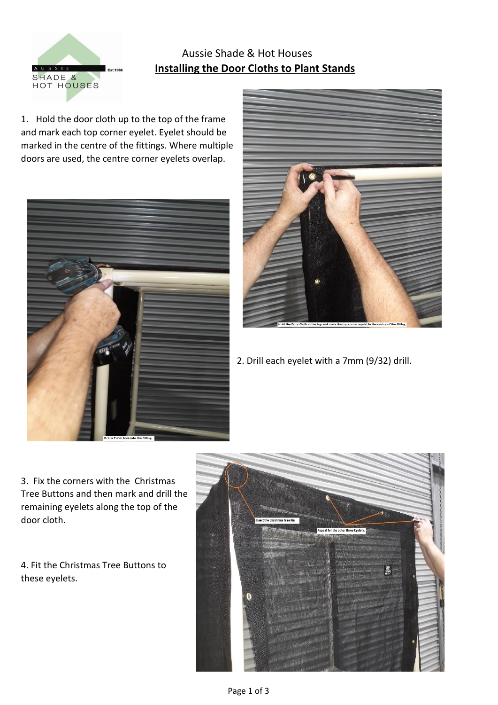

## Aussie Shade & Hot Houses *<b>I*<sub>Est.1986</sub> **Installing the Door Cloths to Plant Stands**

1. Hold the door cloth up to the top of the frame and mark each top corner eyelet. Eyelet should be marked in the centre of the fittings. Where multiple doors are used, the centre corner eyelets overlap.





2. Drill each eyelet with a 7mm (9/32) drill.

3. Fix the corners with the Christmas Tree Buttons and then mark and drill the remaining eyelets along the top of the door cloth.

4. Fit the Christmas Tree Buttons to these eyelets.

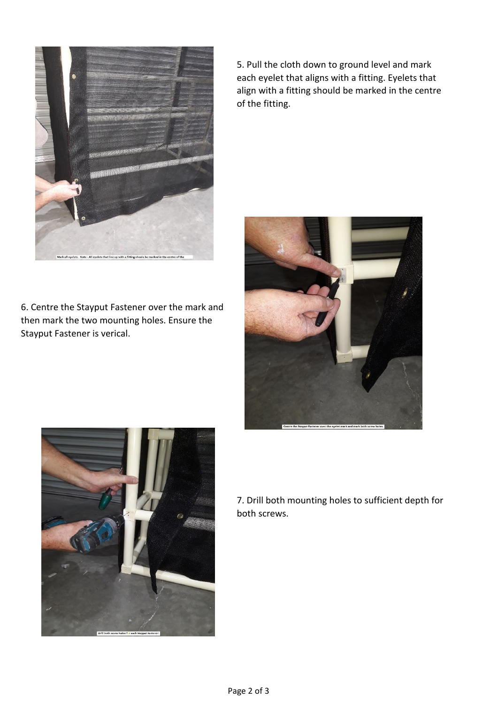

6. Centre the Stayput Fastener over the mark and then mark the two mounting holes. Ensure the Stayput Fastener is verical.

5. Pull the cloth down to ground level and mark each eyelet that aligns with a fitting. Eyelets that align with a fitting should be marked in the centre of the fitting.





7. Drill both mounting holes to sufficient depth for both screws.